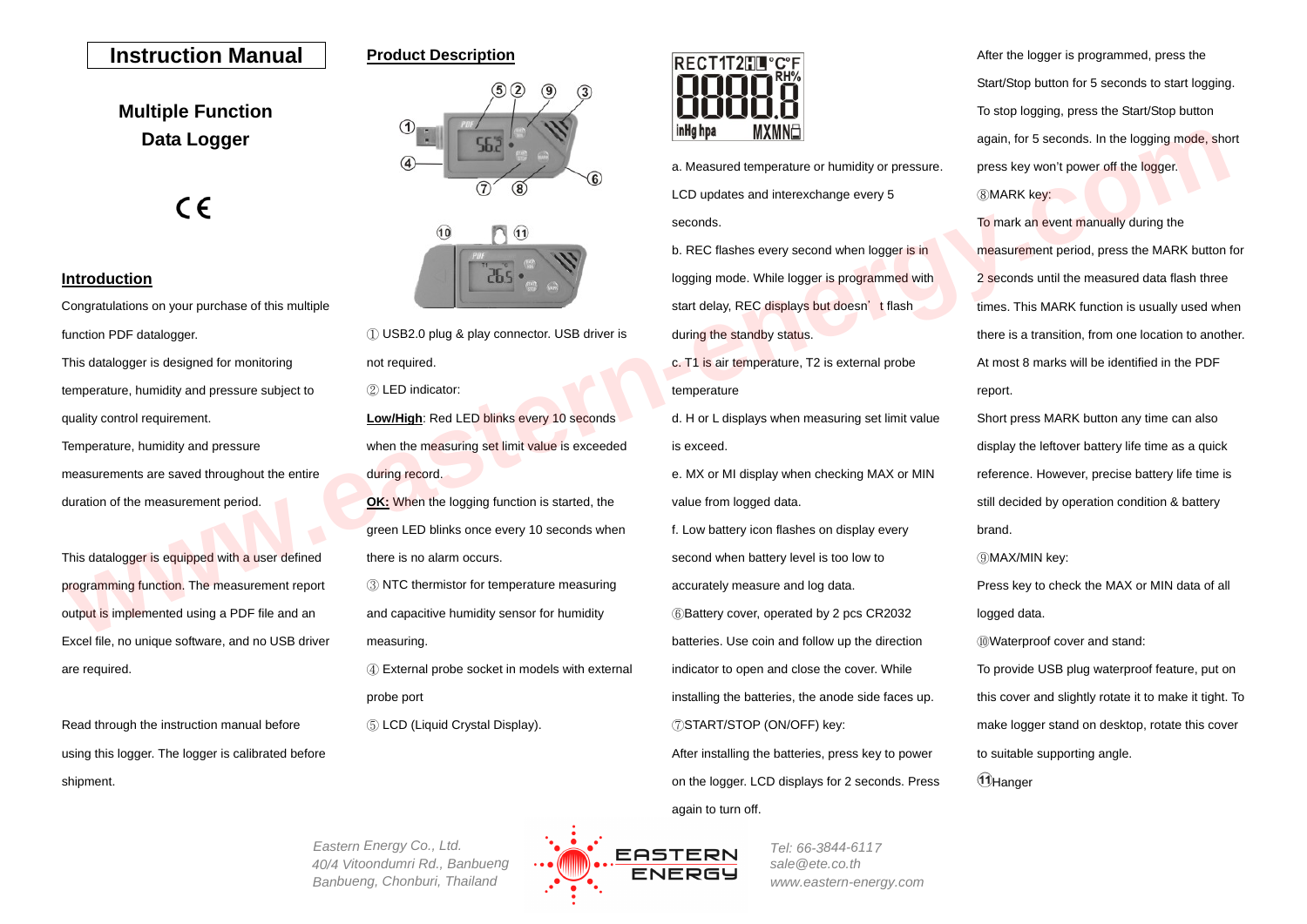# **Instruction Manual**

# **Product Description**

**Multiple Function Data Logger**



## **Introduction**

Congratulations on your purchase of this multiple function PDF datalogger. This datalogger is designed for monitoring temperature, humidity and pressure subject to quality control requirement. Temperature, humidity and pressure measurements are saved throughout the entire duration of the measurement period. **Data Logger**<br>
CONSIDERATION CONTINUES CONTINUES CONTINUES CONTINUES CONTINUES CONTINUES CONTINUES CONTINUES CONTINUES CONTINUES CONTINUES CONTINUES CONTINUES CONTINUES CONTINUES CONTINUES CONTINUES CONTINUES CONTINUES CON

This datalogger is equipped with a user defined programming function. The measurement report output is implemented using a PDF file and an Excel file, no unique software, and no USB driver are required.

Read through the instruction manual before using this logger. The logger is calibrated before shipment.





① USB2.0 plug & play connector. USB driver is not required. ② LED indicator: **Low/High**: Red LED blinks every 10 seconds

when the measuring set limit value is exceeded during record.

**OK:** When the logging function is started, the green LED blinks once every 10 seconds when there is no alarm occurs.

③ NTC thermistor for temperature measuring and capacitive humidity sensor for humidity measuring.

④ External probe socket in models with external probe port

⑤ LCD (Liquid Crystal Display).



a. Measured temperature or humidity or pressure. LCD updates and interexchange every 5 seconds.

b. REC flashes every second when logger is in logging mode. While logger is programmed with start delay, REC displays but doesn't flash during the standby status.

c. T1 is air temperature, T2 is external probe temperature

d. H or L displays when measuring set limit value is exceed.

e. MX or MI display when checking MAX or MIN value from logged data.

f. Low battery icon flashes on display every second when battery level is too low to accurately measure and log data. ⑥Battery cover, operated by 2 pcs CR2032 batteries. Use coin and follow up the direction indicator to open and close the cover. While installing the batteries, the anode side faces up. ⑦START/STOP (ON/OFF) key:

After installing the batteries, press key to power on the logger. LCD displays for 2 seconds. Press again to turn off.

After the logger is programmed, press the Start/Stop button for 5 seconds to start logging. To stop logging, press the Start/Stop button again, for 5 seconds. In the logging mode, short press key won't power off the logger. ⑧MARK key:

To mark an event manually during the measurement period, press the MARK button for 2 seconds until the measured data flash three times. This MARK function is usually used when there is a transition, from one location to another. At most 8 marks will be identified in the PDF report.

Short press MARK button any time can also display the leftover battery life time as a quick reference. However, precise battery life time is still decided by operation condition & battery brand.

⑨MAX/MIN key:

Press key to check the MAX or MIN data of all logged data.

⑩Waterproof cover and stand:

To provide USB plug waterproof feature, put on this cover and slightly rotate it to make it tight. To make logger stand on desktop, rotate this cover to suitable supporting angle.

**1**Hanger

*Eastern Energy Co., Ltd. 40/4 Vitoondumri Rd., Banbueng Banbueng, Chonburi, Thailand*



*Tel: 66-3844-611 7sale@ete.co.thwww.eastern-energy.com*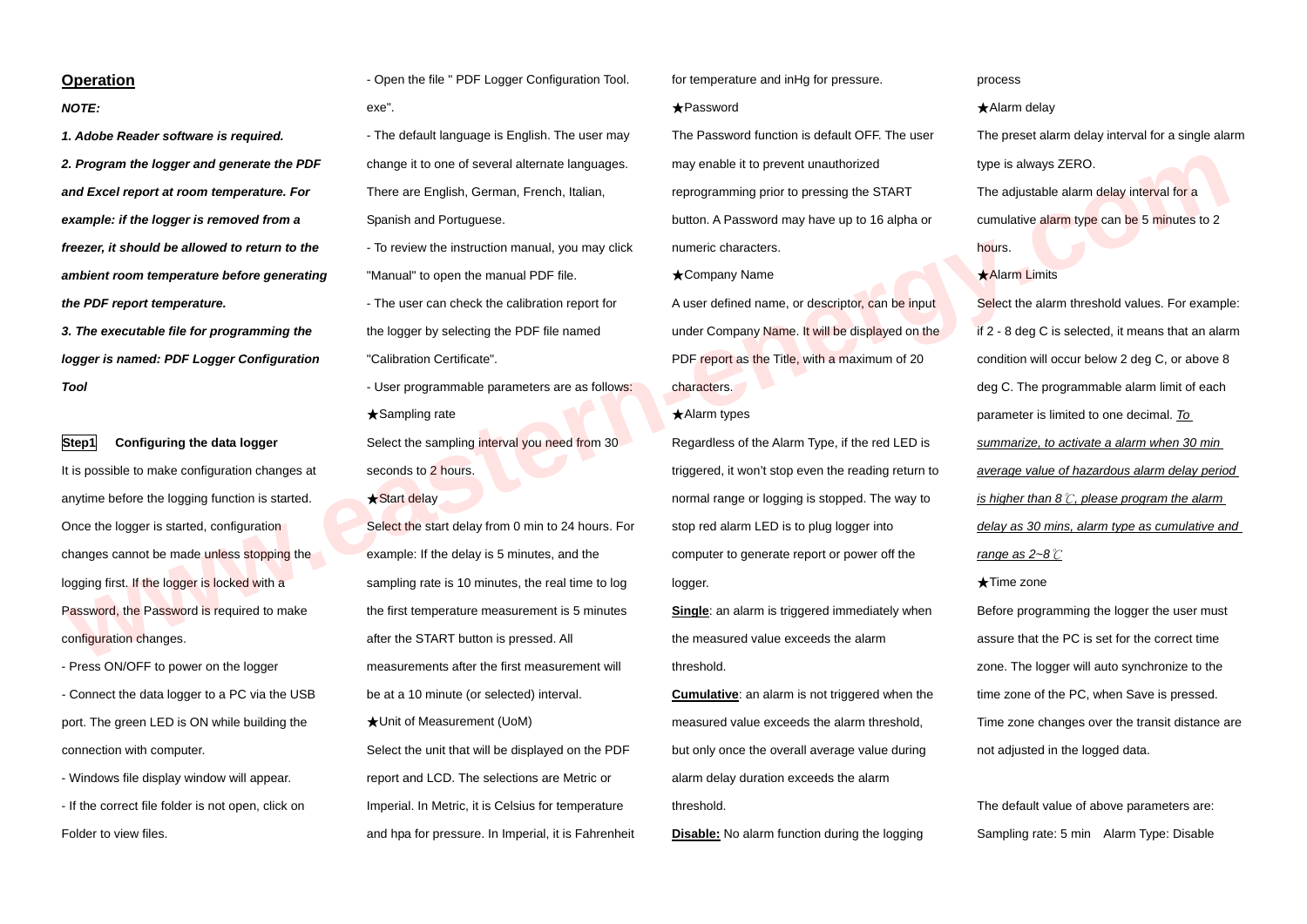## **Operation**

*NOTE:* 

*1. Adobe Reader software is required. 2. Program the logger and generate the PDF and Excel report at room temperature. For example: if the logger is removed from a freezer, it should be allowed to return to the ambient room temperature before generating the PDF report temperature.* 

*3. The executable file for programming the logger is named: PDF Logger Configuration Tool* 

**Step1** Configuring the data logger It is possible to make configuration changes at anytime before the logging function is started. Once the logger is started, configuration changes cannot be made unless stopping the logging first. If the logger is locked with a Password, the Password is required to make configuration changes.

- Press ON/OFF to power on the logger - Connect the data logger to a PC via the USB port. The green LED is ON while building the connection with computer.

- Windows file display window will appear.

- If the correct file folder is not open, click on Folder to view files.

- Open the file " PDF Logger Configuration Tool. exe".

- The default language is English. The user may change it to one of several alternate languages. There are English, German, French, Italian, Spanish and Portuguese.

- To review the instruction manual, you may click "Manual" to open the manual PDF file.

- The user can check the calibration report for the logger by selecting the PDF file named "Calibration Certificate".

- User programmable parameters are as follows: ★Sampling rate

Select the sampling interval you need from 30 seconds to 2 hours.

- ★Start delay
- Select the start delay from 0 min to 24 hours. For example: If the delay is 5 minutes, and the sampling rate is 10 minutes, the real time to log the first temperature measurement is 5 minutes after the START button is pressed. All measurements after the first measurement will be at a 10 minute (or selected) interval. ★Unit of Measurement (UoM) Select the unit that will be displayed on the PDF report and LCD. The selections are Metric or Imperial. In Metric, it is Celsius for temperature and hpa for pressure. In Imperial, it is Fahrenheit

for temperature and inHg for pressure.

★Password

The Password function is default OFF. The user may enable it to prevent unauthorized reprogramming prior to pressing the START button. A Password may have up to 16 alpha or numeric characters.

★Company Name

A user defined name, or descriptor, can be input under Company Name. It will be displayed on the PDF report as the Title, with a maximum of 20 characters.

#### ★Alarm types

Regardless of the Alarm Type, if the red LED is triggered, it won't stop even the reading return to normal range or logging is stopped. The way to stop red alarm LED is to plug logger into computer to generate report or power off the logger.

**Single**: an alarm is triggered immediately when the measured value exceeds the alarm threshold.

**Cumulative**: an alarm is not triggered when the measured value exceeds the alarm threshold, but only once the overall average value during alarm delay duration exceeds the alarm threshold.

**Disable:** No alarm function during the logging

#### process

★Alarm delay The preset alarm delay interval for a single alarm type is always ZERO. The adjustable alarm delay interval for a cumulative alarm type can be 5 minutes to 2 hours.

★Alarm Limits

Select the alarm threshold values. For example: if 2 - 8 deg C is selected, it means that an alarm condition will occur below 2 deg C, or above 8 deg C. The programmable alarm limit of each parameter is limited to one decimal. *To summarize, to activate a alarm when 30 min average value of hazardous alarm delay period is higher than 8*℃*, please program the alarm delay as 30 mins, alarm type as cumulative and range as 2~8*℃ ★Time zone **www.eastern-energy.com**

Before programming the logger the user must assure that the PC is set for the correct time zone. The logger will auto synchronize to the time zone of the PC, when Save is pressed. Time zone changes over the transit distance are not adjusted in the logged data.

The default value of above parameters are: Sampling rate: 5 min Alarm Type: Disable